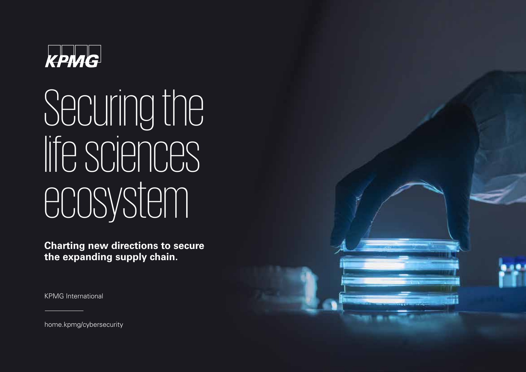

Securing the life sciences ecosystem

**Charting new directions to secure the expanding supply chain.**

KPMG International

<home.kpmg/cybersecurity>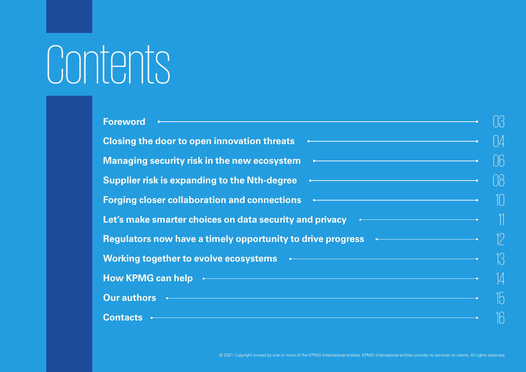# **Contents**

| <b>Foreword</b>                                                                                                                               |
|-----------------------------------------------------------------------------------------------------------------------------------------------|
|                                                                                                                                               |
|                                                                                                                                               |
| Supplier risk is expanding to the Nth-degree                                                                                                  |
|                                                                                                                                               |
| Let's make smarter choices on data security and privacy entertainment and $\left\  \right\ $                                                  |
| <b>Regulators now have a timely opportunity to drive progress</b> $\longrightarrow$ $\longrightarrow$ $\longrightarrow$ $\uparrow$ $\uparrow$ |
| Working together to evolve ecosystems $\bullet$ . The contract of $\left[\begin{matrix} 1 & 1 \end{matrix}\right]$                            |
| How KPMG can help + 2000 1 2000 1 2000 1 2000 1 2000 1 2000 1 2000 1 2000 1 2000 1 2000 1 2000 1 2000 1 2000 1                                |
| Our authors $\qquad \qquad \blacksquare$                                                                                                      |
| Contacts <del>Designation</del>                                                                                                               |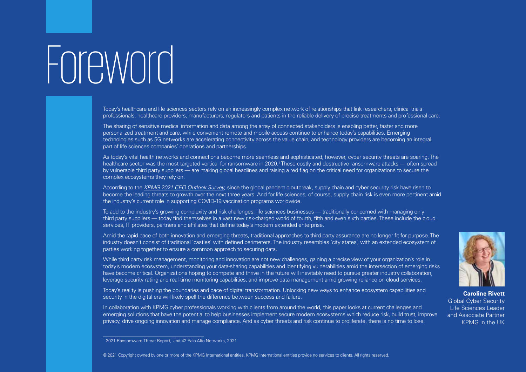# **Foreword**

Today's healthcare and life sciences sectors rely on an increasingly complex network of relationships that link researchers, clinical trials professionals, healthcare providers, manufacturers, regulators and patients in the reliable delivery of precise treatments and professional care.

The sharing of sensitive medical information and data among the array of connected stakeholders is enabling better, faster and more personalized treatment and care, while convenient remote and mobile access continue to enhance today's capabilities. Emerging technologies such as 5G networks are accelerating connectivity across the value chain, and technology providers are becoming an integral part of life sciences companies' operations and partnerships.

As today's vital health networks and connections become more seamless and sophisticated, however, cyber security threats are soaring. The healthcare sector was the most targeted vertical for ransomware in 2020.<sup>1</sup> These costly and destructive ransomware attacks — often spread by vulnerable third party suppliers — are making global headlines and raising a red flag on the critical need for organizations to secure the complex ecosystems they rely on.

According to the *[KPMG 2021 CEO Outlook Survey](https://home.kpmg/xx/en/home/insights/2021/08/kpmg-2021-ceo-outlook.html)*, since the global pandemic outbreak, supply chain and cyber security risk have risen to become the leading threats to growth over the next three years. And for life sciences, of course, supply chain risk is even more pertinent amid the industry's current role in supporting COVID-19 vaccination programs worldwide.

To add to the industry's growing complexity and risk challenges, life sciences businesses — traditionally concerned with managing only third party suppliers — today find themselves in a vast new risk-charged world of fourth, fifth and even sixth parties. These include the cloud services, IT providers, partners and affiliates that define today's modern extended enterprise.

Amid the rapid pace of both innovation and emerging threats, traditional approaches to third party assurance are no longer fit for purpose. The industry doesn't consist of traditional 'castles' with defined perimeters. The industry resembles 'city states', with an extended ecosystem of parties working together to ensure a common approach to securing data.

While third party risk management, monitoring and innovation are not new challenges, gaining a precise view of your organization's role in today's modern ecosystem, understanding your data-sharing capabilities and identifying vulnerabilities amid the intersection of emerging risks have become critical. Organizations hoping to compete and thrive in the future will inevitably need to pursue greater industry collaboration, leverage security rating and real-time monitoring capabilities, and improve data management amid growing reliance on cloud services.

Today's reality is pushing the boundaries and pace of digital transformation. Unlocking new ways to enhance ecosystem capabilities and security in the digital era will likely spell the difference between success and failure.

In collaboration with KPMG cyber professionals working with clients from around the world, this paper looks at current challenges and emerging solutions that have the potential to help businesses implement secure modern ecosystems which reduce risk, build trust, improve privacy, drive ongoing innovation and manage compliance. And as cyber threats and risk continue to proliferate, there is no time to lose.



**Caroline Rivett** Global Cyber Security Life Sciences Leader and Associate Partner KPMG in the UK

<sup>1</sup> 2021 Ransomware Threat Report, Unit 42 Palo Alto Networks, 2021.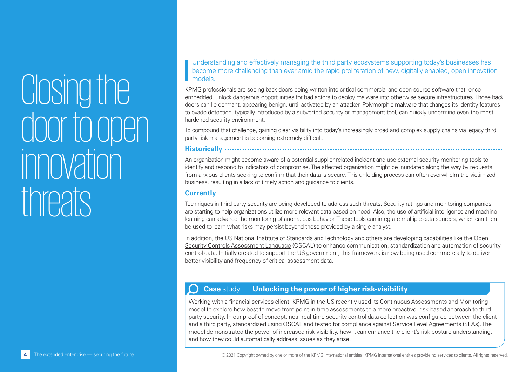### Closing the door to open innovation threats

Understanding and effectively managing the third party ecosystems supporting today's businesses has become more challenging than ever amid the rapid proliferation of new, digitally enabled, open innovation models.

KPMG professionals are seeing back doors being written into critical commercial and open-source software that, once embedded, unlock dangerous opportunities for bad actors to deploy malware into otherwise secure infrastructures. Those back doors can lie dormant, appearing benign, until activated by an attacker. Polymorphic malware that changes its identity features to evade detection, typically introduced by a subverted security or management tool, can quickly undermine even the most hardened security environment.

To compound that challenge, gaining clear visibility into today's increasingly broad and complex supply chains via legacy third party risk management is becoming extremely difficult.

### **Historically**

An organization might become aware of a potential supplier related incident and use external security monitoring tools to identify and respond to indicators of compromise. The affected organization might be inundated along the way by requests from anxious clients seeking to confirm that their data is secure. This unfolding process can often overwhelm the victimized business, resulting in a lack of timely action and guidance to clients.

### **Currently**

Techniques in third party security are being developed to address such threats. Security ratings and monitoring companies are starting to help organizations utilize more relevant data based on need. Also, the use of artificial intelligence and machine learning can advance the monitoring of anomalous behavior. These tools can integrate multiple data sources, which can then be used to learn what risks may persist beyond those provided by a single analyst.

In addition, the US National Institute of Standards and Technology and others are developing capabilities like the Open [Security Controls Assessment Language](https://pages.nist.gov/OSCAL/) (OSCAL) to enhance communication, standardization and automation of security control data. Initially created to support the US government, this framework is now being used commercially to deliver better visibility and frequency of critical assessment data.

### **Case** study **Unlocking the power of higher risk-visibility**

Working with a financial services client, KPMG in the US recently used its Continuous Assessments and Monitoring model to explore how best to move from point-in-time assessments to a more proactive, risk-based approach to third party security. In our proof of concept, near real-time security control data collection was configured between the client and a third party, standardized using OSCAL and tested for compliance against Service Level Agreements (SLAs). The model demonstrated the power of increased risk visibility, how it can enhance the client's risk posture understanding, and how they could automatically address issues as they arise.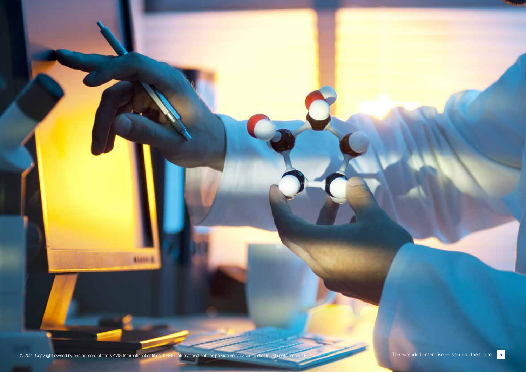

**ALEAN**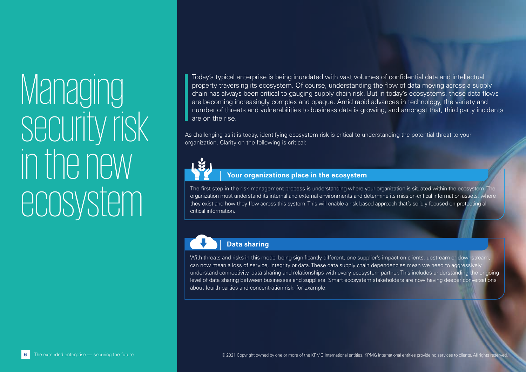### **Managing** security risk in the new ecosystem

Today's typical enterprise is being inundated with vast volumes of confidential data and intellectual property traversing its ecosystem. Of course, understanding the flow of data moving across a supply chain has always been critical to gauging supply chain risk. But in today's ecosystems, those data flows are becoming increasingly complex and opaque. Amid rapid advances in technology, the variety and number of threats and vulnerabilities to business data is growing, and amongst that, third party incidents are on the rise.

As challenging as it is today, identifying ecosystem risk is critical to understanding the potential threat to your organization. Clarity on the following is critical:



### **Your organizations place in the ecosystem**

The first step in the risk management process is understanding where your organization is situated within the ecosystem. The organization must understand its internal and external environments and determine its mission-critical information assets, where they exist and how they flow across this system. This will enable a risk-based approach that's solidly focused on protecting all critical information.



### **Data sharing**

With threats and risks in this model being significantly different, one supplier's impact on clients, upstream or downstream, can now mean a loss of service, integrity or data. These data supply chain dependencies mean we need to aggressively understand connectivity, data sharing and relationships with every ecosystem partner. This includes understanding the ongoing level of data sharing between businesses and suppliers. Smart ecosystem stakeholders are now having deeper conversations about fourth parties and concentration risk, for example.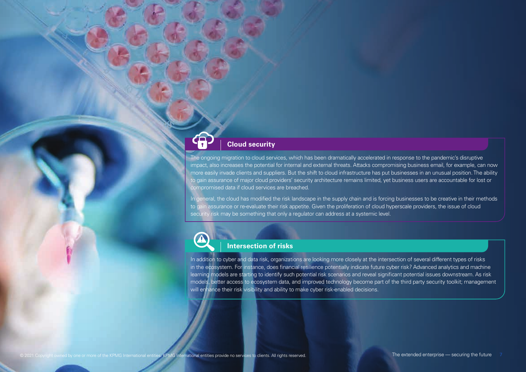### **Cloud security**

The ongoing migration to cloud services, which has been dramatically accelerated in response to the pandemic's disruptive impact, also increases the potential for internal and external threats. Attacks compromising business email, for example, can now more easily invade clients and suppliers. But the shift to cloud infrastructure has put businesses in an unusual position. The ability to gain assurance of major cloud providers' security architecture remains limited, yet business users are accountable for lost or compromised data if cloud services are breached.

In general, the cloud has modified the risk landscape in the supply chain and is forcing businesses to be creative in their methods to gain assurance or re-evaluate their risk appetite. Given the proliferation of cloud hyperscale providers, the issue of cloud security risk may be something that only a regulator can address at a systemic level.



### **Intersection of risks**

In addition to cyber and data risk, organizations are looking more closely at the intersection of several different types of risks in the ecosystem. For instance, does financial resilience potentially indicate future cyber risk? Advanced analytics and machine learning models are starting to identify such potential risk scenarios and reveal significant potential issues downstream. As risk models, better access to ecosystem data, and improved technology become part of the third party security toolkit; management will enhance their risk visibility and ability to make cyber risk-enabled decisions.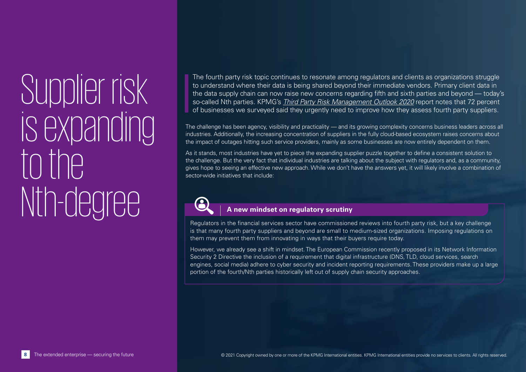### Supplier risk is expanding to the Nth-degree

The fourth party risk topic continues to resonate among regulators and clients as organizations struggle to understand where their data is being shared beyond their immediate vendors. Primary client data in the data supply chain can now raise new concerns regarding fifth and sixth parties and beyond — today's so-called Nth parties. KPMG's *Third Party [Risk Management Outlook 2020](https://home.kpmg/xx/en/home/insights/2020/08/third-party-risk-management-outlook-2020.html)* report notes that 72 percent of businesses we surveyed said they urgently need to improve how they assess fourth party suppliers.

The challenge has been agency, visibility and practicality — and its growing complexity concerns business leaders across all industries. Additionally, the increasing concentration of suppliers in the fully cloud-based ecosystem raises concerns about the impact of outages hitting such service providers, mainly as some businesses are now entirely dependent on them.

As it stands, most industries have yet to piece the expanding supplier puzzle together to define a consistent solution to the challenge. But the very fact that individual industries are talking about the subject with regulators and, as a community, gives hope to seeing an effective new approach. While we don't have the answers yet, it will likely involve a combination of sector-wide initiatives that include:



### **A new mindset on regulatory scrutiny**

Regulators in the financial services sector have commissioned reviews into fourth party risk, but a key challenge is that many fourth party suppliers and beyond are small to medium-sized organizations. Imposing regulations on them may prevent them from innovating in ways that their buyers require today.

However, we already see a shift in mindset. The European Commission recently proposed in its Network Information Security 2 Directive the inclusion of a requirement that digital infrastructure (DNS, TLD, cloud services, search engines, social media) adhere to cyber security and incident reporting requirements. These providers make up a large portion of the fourth/Nth parties historically left out of supply chain security approaches.

8 The extended enterprise — securing the future **Extended** in the future Capaca Copyright owned by one or more of the KPMG International entities. KPMG International entities provide no services to clients. All rights rese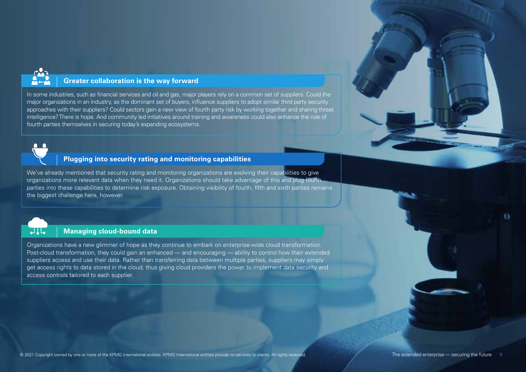

### **Greater collaboration is the way forward**

In some industries, such as financial services and oil and gas, major players rely on a common set of suppliers. Could the major organizations in an industry, as the dominant set of buyers, influence suppliers to adopt similar third party security approaches with their suppliers? Could sectors gain a new view of fourth party risk by working together and sharing threat intelligence? There is hope. And community led initiatives around training and awareness could also enhance the role of fourth parties themselves in securing today's expanding ecosystems.



### **Plugging into security rating and monitoring capabilities**

We've already mentioned that security rating and monitoring organizations are evolving their capabilities to give organizations more relevant data when they need it. Organizations should take advantage of this and plug fourth parties into these capabilities to determine risk exposure. Obtaining visibility of fourth, fifth and sixth parties remains the biggest challenge here, however.



### **Managing cloud-bound data**

Organizations have a new glimmer of hope as they continue to embark on enterprise-wide cloud transformation. Post-cloud transformation, they could gain an enhanced — and encouraging — ability to control how their extended suppliers access and use their data. Rather than transferring data between multiple parties, suppliers may simply get access rights to data stored in the cloud, thus giving cloud providers the power to implement data security and access controls tailored to each supplier.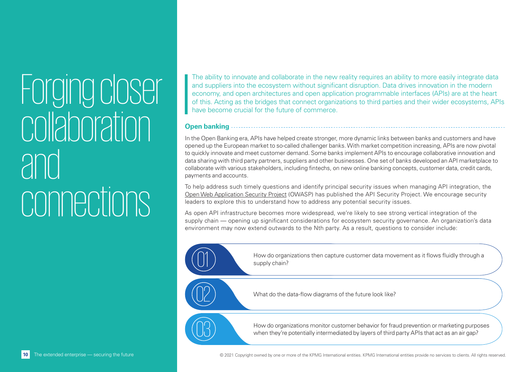### Forging closer collaboration ann connections

The ability to innovate and collaborate in the new reality requires an ability to more easily integrate data and suppliers into the ecosystem without significant disruption. Data drives innovation in the modern economy, and open architectures and open application programmable interfaces (APIs) are at the heart of this. Acting as the bridges that connect organizations to third parties and their wider ecosystems, APIs have become crucial for the future of commerce.

### **Open banking**

In the Open Banking era, APIs have helped create stronger, more dynamic links between banks and customers and have opened up the European market to so-called challenger banks. With market competition increasing, APIs are now pivotal to quickly innovate and meet customer demand. Some banks implement APIs to encourage collaborative innovation and data sharing with third party partners, suppliers and other businesses. One set of banks developed an API marketplace to collaborate with various stakeholders, including fintechs, on new online banking concepts, customer data, credit cards, payments and accounts.

To help address such timely questions and identify principal security issues when managing API integration, the [Open Web Application Security Project](https://owasp.org/www-project-api-security/) (OWASP) has published the API Security Project. We encourage security leaders to explore this to understand how to address any potential security issues.

As open API infrastructure becomes more widespread, we're likely to see strong vertical integration of the supply chain — opening up significant considerations for ecosystem security governance. An organization's data environment may now extend outwards to the Nth party. As a result, questions to consider include:

> How do organizations then capture customer data movement as it flows fluidly through a supply chain?

What do the data-flow diagrams of the future look like?

How do organizations monitor customer behavior for fraud prevention or marketing purposes when they're potentially intermediated by layers of third party APIs that act as an air gap?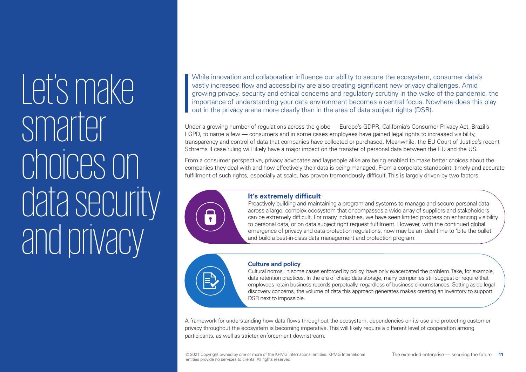### Let's make smarter choices on data security and privacy

While innovation and collaboration influence our ability to secure the ecosystem, consumer data's vastly increased flow and accessibility are also creating significant new privacy challenges. Amid growing privacy, security and ethical concerns and regulatory scrutiny in the wake of the pandemic, the importance of understanding your data environment becomes a central focus. Nowhere does this play out in the privacy arena more clearly than in the area of data subject rights (DSR).

Under a growing number of regulations across the globe — Europe's GDPR, California's Consumer Privacy Act, Brazil's LGPD, to name a few — consumers and in some cases employees have gained legal rights to increased visibility, transparency and control of data that companies have collected or purchased. Meanwhile, the EU Court of Justice's recent [Schrems II](https://www.europarl.europa.eu/RegData/etudes/ATAG/2020/652073/EPRS_ATA(2020)652073_EN.pdf) case ruling will likely have a major impact on the transfer of personal data between the EU and the US.

From a consumer perspective, privacy advocates and laypeople alike are being enabled to make better choices about the companies they deal with and how effectively their data is being managed. From a corporate standpoint, timely and accurate fulfillment of such rights, especially at scale, has proven tremendously difficult. This is largely driven by two factors.



### **It's extremely difficult**

Proactively building and maintaining a program and systems to manage and secure personal data across a large, complex ecosystem that encompasses a wide array of suppliers and stakeholders can be extremely difficult. For many industries, we have seen limited progress on enhancing visibility to personal data, or on data subject right request fulfilment. However, with the continued global emergence of privacy and data protection regulations, now may be an ideal time to 'bite the bullet' and build a best-in-class data management and protection program.



### **Culture and policy**

Cultural norms, in some cases enforced by policy, have only exacerbated the problem. Take, for example, data retention practices. In the era of cheap data storage, many companies still suggest or require that employees retain business records perpetually, regardless of business circumstances. Setting aside legal discovery concerns, the volume of data this approach generates makes creating an inventory to support DSR next to impossible.

A framework for understanding how data flows throughout the ecosystem, dependencies on its use and protecting customer privacy throughout the ecosystem is becoming imperative. This will likely require a different level of cooperation among participants, as well as stricter enforcement downstream.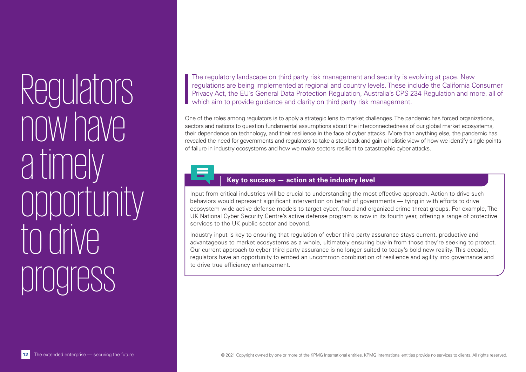### Regulators now have a timely opportunity to drive progress

The regulatory landscape on third party risk management and security is evolving at pace. New regulations are being implemented at regional and country levels. These include the California Consumer Privacy Act, the EU's General Data Protection Regulation, Australia's CPS 234 Regulation and more, all of which aim to provide quidance and clarity on third party risk management.

One of the roles among regulators is to apply a strategic lens to market challenges. The pandemic has forced organizations, sectors and nations to question fundamental assumptions about the interconnectedness of our global market ecosystems, their dependence on technology, and their resilience in the face of cyber attacks. More than anything else, the pandemic has revealed the need for governments and regulators to take a step back and gain a holistic view of how we identify single points of failure in industry ecosystems and how we make sectors resilient to catastrophic cyber attacks.

### **Key to success — action at the industry level**

Input from critical industries will be crucial to understanding the most effective approach. Action to drive such behaviors would represent significant intervention on behalf of governments — tying in with efforts to drive ecosystem-wide active defense models to target cyber, fraud and organized-crime threat groups. For example, The UK National Cyber Security Centre's active defense program is now in its fourth year, offering a range of protective services to the UK public sector and beyond.

Industry input is key to ensuring that regulation of cyber third party assurance stays current, productive and advantageous to market ecosystems as a whole, ultimately ensuring buy-in from those they're seeking to protect. Our current approach to cyber third party assurance is no longer suited to today's bold new reality. This decade, regulators have an opportunity to embed an uncommon combination of resilience and agility into governance and to drive true efficiency enhancement.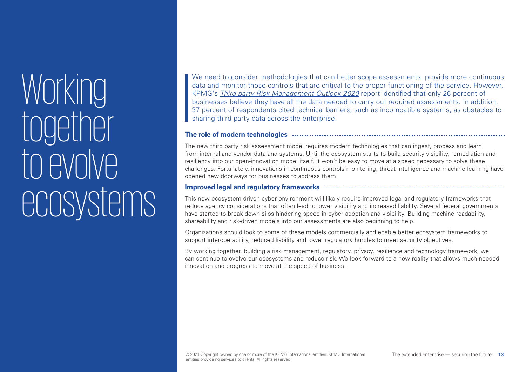### Working together to evolve! ecosystems

We need to consider methodologies that can better scope assessments, provide more continuous data and monitor those controls that are critical to the proper functioning of the service. However, KPMG's *[Third party Risk Management Outlook 2020](https://home.kpmg/xx/en/home/insights/2020/08/third-party-risk-management-outlook-2020.html)* report identified that only 26 percent of businesses believe they have all the data needed to carry out required assessments. In addition, 37 percent of respondents cited technical barriers, such as incompatible systems, as obstacles to sharing third party data across the enterprise.

### **The role of modern technologies**

The new third party risk assessment model requires modern technologies that can ingest, process and learn from internal and vendor data and systems. Until the ecosystem starts to build security visibility, remediation and resiliency into our open-innovation model itself, it won't be easy to move at a speed necessary to solve these challenges. Fortunately, innovations in continuous controls monitoring, threat intelligence and machine learning have opened new doorways for businesses to address them.

### **Improved legal and regulatory frameworks**

This new ecosystem driven cyber environment will likely require improved legal and regulatory frameworks that reduce agency considerations that often lead to lower visibility and increased liability. Several federal governments have started to break down silos hindering speed in cyber adoption and visibility. Building machine readability, shareability and risk-driven models into our assessments are also beginning to help.

Organizations should look to some of these models commercially and enable better ecosystem frameworks to support interoperability, reduced liability and lower regulatory hurdles to meet security objectives.

By working together, building a risk management, regulatory, privacy, resilience and technology framework, we can continue to evolve our ecosystems and reduce risk. We look forward to a new reality that allows much-needed innovation and progress to move at the speed of business.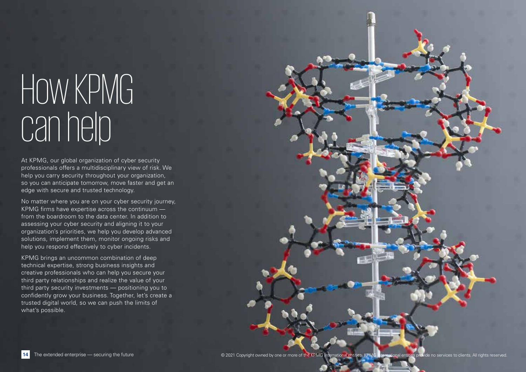### How KPMG can help

At KPMG, our global organization of cyber security professionals offers a multidisciplinary view of risk. We help you carry security throughout your organization, so you can anticipate tomorrow, move faster and get an edge with secure and trusted technology.

No matter where you are on your cyber security journey, KPMG firms have expertise across the continuum from the boardroom to the data center. In addition to assessing your cyber security and aligning it to your organization's priorities, we help you develop advanced solutions, implement them, monitor ongoing risks and help you respond effectively to cyber incidents.

KPMG brings an uncommon combination of deep technical expertise, strong business insights and creative professionals who can help you secure your third party relationships and realize the value of your third party security investments — positioning you to confidently grow your business. Together, let's create a trusted digital world, so we can push the limits of what's possible.

**14** The extended enterprise — securing the future **Extended in the South of the South of the KPMG** International entities. KPMG International entities provide no services to clients. All rights reserved.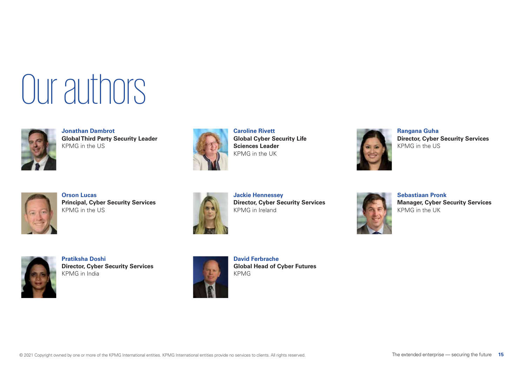## Our authors



**Jonathan Dambrot Global Third Party Security Leader**  KPMG in the US



**Orson Lucas Principal, Cyber Security Services**  KPMG in the US



**Jackie Hennessey Director, Cyber Security Services**  KPMG in Ireland

**Caroline Rivett** 

**Sciences Leader**  KPMG in the UK

**Global Cyber Security Life** 



**Pratiksha Doshi Director, Cyber Security Services**  KPMG in India



**David Ferbrache Global Head of Cyber Futures**  KPMG



**Rangana Guha Director, Cyber Security Services**  KPMG in the US

**Sebastiaan Pronk Manager, Cyber Security Services**  KPMG in the UK